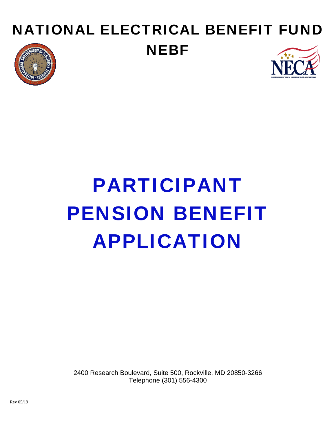# NATIONAL ELECTRICAL BENEFIT FUND **NEBF**





# PARTICIPANT PENSION BENEFIT APPLICATION

2400 Research Boulevard, Suite 500, Rockville, MD 20850-3266 Telephone (301) 556-4300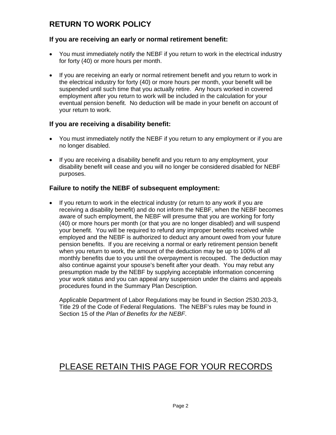## **RETURN TO WORK POLICY**

### **If you are receiving an early or normal retirement benefit:**

- You must immediately notify the NEBF if you return to work in the electrical industry for forty (40) or more hours per month.
- If you are receiving an early or normal retirement benefit and you return to work in the electrical industry for forty (40) or more hours per month, your benefit will be suspended until such time that you actually retire. Any hours worked in covered employment after you return to work will be included in the calculation for your eventual pension benefit. No deduction will be made in your benefit on account of your return to work.

## **If you are receiving a disability benefit:**

- You must immediately notify the NEBF if you return to any employment or if you are no longer disabled.
- If you are receiving a disability benefit and you return to any employment, your disability benefit will cease and you will no longer be considered disabled for NEBF purposes.

## **Failure to notify the NEBF of subsequent employment:**

• If you return to work in the electrical industry (or return to any work if you are receiving a disability benefit) and do not inform the NEBF, when the NEBF becomes aware of such employment, the NEBF will presume that you are working for forty (40) or more hours per month (or that you are no longer disabled) and will suspend your benefit. You will be required to refund any improper benefits received while employed and the NEBF is authorized to deduct any amount owed from your future pension benefits. If you are receiving a normal or early retirement pension benefit when you return to work, the amount of the deduction may be up to 100% of all monthly benefits due to you until the overpayment is recouped. The deduction may also continue against your spouse's benefit after your death. You may rebut any presumption made by the NEBF by supplying acceptable information concerning your work status and you can appeal any suspension under the claims and appeals procedures found in the Summary Plan Description.

Applicable Department of Labor Regulations may be found in Section 2530.203-3, Title 29 of the Code of Federal Regulations. The NEBF's rules may be found in Section 15 of the *Plan of Benefits for the NEBF*.

# PLEASE RETAIN THIS PAGE FOR YOUR RECORDS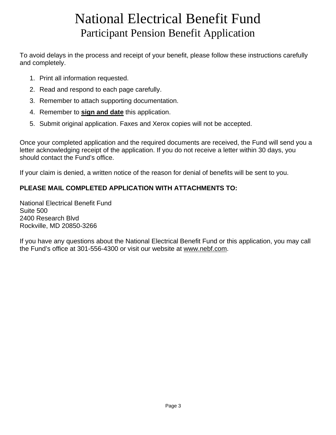# National Electrical Benefit Fund Participant Pension Benefit Application

To avoid delays in the process and receipt of your benefit, please follow these instructions carefully and completely.

- 1. Print all information requested.
- 2. Read and respond to each page carefully.
- 3. Remember to attach supporting documentation.
- 4. Remember to **sign and date** this application.
- 5. Submit original application. Faxes and Xerox copies will not be accepted.

Once your completed application and the required documents are received, the Fund will send you a letter acknowledging receipt of the application. If you do not receive a letter within 30 days, you should contact the Fund's office.

If your claim is denied, a written notice of the reason for denial of benefits will be sent to you.

## **PLEASE MAIL COMPLETED APPLICATION WITH ATTACHMENTS TO:**

National Electrical Benefit Fund Suite 500 2400 Research Blvd Rockville, MD 20850-3266

If you have any questions about the National Electrical Benefit Fund or this application, you may call the Fund's office at 301-556-4300 or visit our website at www.nebf.com.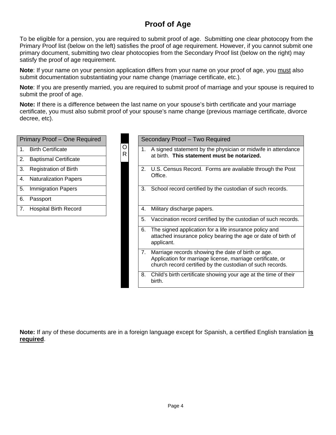## **Proof of Age**

To be eligible for a pension, you are required to submit proof of age. Submitting one clear photocopy from the Primary Proof list (below on the left) satisfies the proof of age requirement. However, if you cannot submit one primary document, submitting two clear photocopies from the Secondary Proof list (below on the right) may satisfy the proof of age requirement.

**Note**: If your name on your pension application differs from your name on your proof of age, you must also submit documentation substantiating your name change (marriage certificate, etc.).

**Note**: If you are presently married, you are required to submit proof of marriage and your spouse is required to submit the proof of age.

**Note:** If there is a difference between the last name on your spouse's birth certificate and your marriage certificate, you must also submit proof of your spouse's name change (previous marriage certificate, divorce decree, etc).

| Primary Proof - One Required               |                   |                          | Secondary Proof - Two Reo                                                                                                                                                                                                           |
|--------------------------------------------|-------------------|--------------------------|-------------------------------------------------------------------------------------------------------------------------------------------------------------------------------------------------------------------------------------|
| <b>Birth Certificate</b><br>1 <sub>1</sub> | O<br>$\mathsf{R}$ | 1.                       | A signed statement by the<br>at birth. This statement n                                                                                                                                                                             |
| 2.<br><b>Baptismal Certificate</b>         |                   |                          |                                                                                                                                                                                                                                     |
| 3.<br><b>Registration of Birth</b>         |                   | 2.                       | U.S. Census Record. Forr<br>Office.                                                                                                                                                                                                 |
| <b>Naturalization Papers</b><br>4.         |                   |                          |                                                                                                                                                                                                                                     |
| 5.<br><b>Immigration Papers</b>            |                   | 3.                       | School record certified by t                                                                                                                                                                                                        |
| 6.<br>Passport                             |                   |                          |                                                                                                                                                                                                                                     |
| <b>Hospital Birth Record</b><br>7.         |                   | 4.                       | Military discharge papers.                                                                                                                                                                                                          |
|                                            |                   | 5.                       | Vaccination record certified                                                                                                                                                                                                        |
|                                            |                   | 6.                       | The signed application for<br>attached insurance policy<br>applicant.                                                                                                                                                               |
|                                            |                   | $\overline{\phantom{a}}$ | <b>N</b> A contract the contract of the contract of the contract of the contract of the contract of the contract of the contract of the contract of the contract of the contract of the contract of the contract of the contract of |

| <b>Primary Proof - One Required</b> | Ω | Secondary Proof - Two Required                                                                                                                                                      |
|-------------------------------------|---|-------------------------------------------------------------------------------------------------------------------------------------------------------------------------------------|
| 1.<br><b>Birth Certificate</b>      |   | A signed statement by the physician or midwife in attendance<br>1.                                                                                                                  |
| 2.<br><b>Baptismal Certificate</b>  | R | at birth. This statement must be notarized.                                                                                                                                         |
| 3.<br><b>Registration of Birth</b>  |   | U.S. Census Record. Forms are available through the Post<br>2.                                                                                                                      |
| 4. Naturalization Papers            |   | Office.                                                                                                                                                                             |
| 5.<br><b>Immigration Papers</b>     |   | School record certified by the custodian of such records.<br>3.                                                                                                                     |
| 6.<br>Passport                      |   |                                                                                                                                                                                     |
| 7.<br><b>Hospital Birth Record</b>  |   | Military discharge papers.<br>4.                                                                                                                                                    |
|                                     |   | Vaccination record certified by the custodian of such records.<br>5.                                                                                                                |
|                                     |   | The signed application for a life insurance policy and<br>6.<br>attached insurance policy bearing the age or date of birth of<br>applicant.                                         |
|                                     |   | Marriage records showing the date of birth or age.<br>7.<br>Application for marriage license, marriage certificate, or<br>church record certified by the custodian of such records. |
|                                     |   | Child's birth certificate showing your age at the time of their<br>8.<br>birth.                                                                                                     |

**Note:** If any of these documents are in a foreign language except for Spanish, a certified English translation **is required**.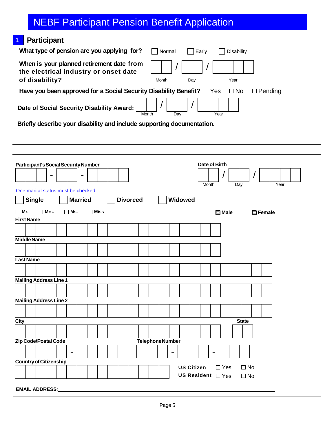| <b>Participant</b><br>1                                                                                                                                 |  |  |  |  |  |  |  |  |  |  |
|---------------------------------------------------------------------------------------------------------------------------------------------------------|--|--|--|--|--|--|--|--|--|--|
| What type of pension are you applying for?<br>Normal<br>Early<br><b>Disability</b>                                                                      |  |  |  |  |  |  |  |  |  |  |
| When is your planned retirement date from<br>the electrical industry or onset date<br>of disability?<br>Year<br>Month<br>Day                            |  |  |  |  |  |  |  |  |  |  |
| Have you been approved for a Social Security Disability Benefit? $\Box$ Yes<br>$\square$ No<br>$\Box$ Pending                                           |  |  |  |  |  |  |  |  |  |  |
| $\prime$<br>Date of Social Security Disability Award:<br>Year<br>Month<br>Day<br>Briefly describe your disability and include supporting documentation. |  |  |  |  |  |  |  |  |  |  |
|                                                                                                                                                         |  |  |  |  |  |  |  |  |  |  |
|                                                                                                                                                         |  |  |  |  |  |  |  |  |  |  |
| <b>Participant's Social Security Number</b><br>Date of Birth<br>Month<br>Year<br>Day                                                                    |  |  |  |  |  |  |  |  |  |  |
| One marital status must be checked:<br><b>Widowed</b><br><b>Married</b><br><b>Divorced</b><br><b>Single</b>                                             |  |  |  |  |  |  |  |  |  |  |
| $\Box$ Mr.<br>$\square$ Mrs.<br>$\Box$ Ms.<br>$\Box$ Miss<br>$\square$ Male<br>$\Box$ Female                                                            |  |  |  |  |  |  |  |  |  |  |
| <b>First Name</b>                                                                                                                                       |  |  |  |  |  |  |  |  |  |  |
|                                                                                                                                                         |  |  |  |  |  |  |  |  |  |  |
| <b>Middle Name</b>                                                                                                                                      |  |  |  |  |  |  |  |  |  |  |
|                                                                                                                                                         |  |  |  |  |  |  |  |  |  |  |
| <b>Last Name</b>                                                                                                                                        |  |  |  |  |  |  |  |  |  |  |
|                                                                                                                                                         |  |  |  |  |  |  |  |  |  |  |
| <b>Mailing Address Line 1</b>                                                                                                                           |  |  |  |  |  |  |  |  |  |  |
|                                                                                                                                                         |  |  |  |  |  |  |  |  |  |  |
| <b>Mailing Address Line 2</b>                                                                                                                           |  |  |  |  |  |  |  |  |  |  |
|                                                                                                                                                         |  |  |  |  |  |  |  |  |  |  |
| City<br><b>State</b>                                                                                                                                    |  |  |  |  |  |  |  |  |  |  |
|                                                                                                                                                         |  |  |  |  |  |  |  |  |  |  |
| Zip Code\Postal Code<br><b>TelephoneNumber</b>                                                                                                          |  |  |  |  |  |  |  |  |  |  |
| $\blacksquare$                                                                                                                                          |  |  |  |  |  |  |  |  |  |  |
| <b>Country of Citizenship</b>                                                                                                                           |  |  |  |  |  |  |  |  |  |  |
| <b>US Citizen</b><br>$\Box$ Yes<br>$\square$ No<br>US Resident $\Box$ Yes<br>$\Box$ No                                                                  |  |  |  |  |  |  |  |  |  |  |
| <b>EMAIL ADDRESS:</b>                                                                                                                                   |  |  |  |  |  |  |  |  |  |  |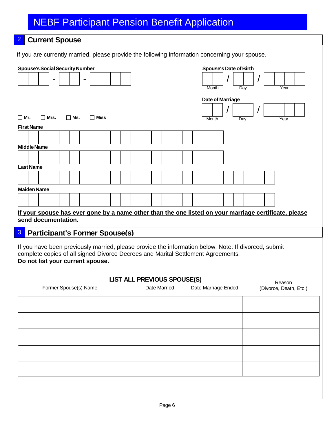## 2 **Current Spouse**

If you are currently married, please provide the following information concerning your spouse*.*

| <b>Spouse's Social Security Number</b>                                           | <b>Spouse's Date of Birth</b>                                                                                 |
|----------------------------------------------------------------------------------|---------------------------------------------------------------------------------------------------------------|
|                                                                                  | Month<br>$\overline{Day}$<br>Year                                                                             |
|                                                                                  |                                                                                                               |
|                                                                                  | <b>Date of Marriage</b>                                                                                       |
| $\Box$ Ms.<br>$\Box$ Miss<br>$\square$ Mr.<br>$\Box$ Mrs.                        | Year<br>Month<br>Day                                                                                          |
| <b>First Name</b>                                                                |                                                                                                               |
|                                                                                  |                                                                                                               |
| <b>Middle Name</b>                                                               |                                                                                                               |
|                                                                                  |                                                                                                               |
| <b>Last Name</b>                                                                 |                                                                                                               |
|                                                                                  |                                                                                                               |
| <b>Maiden Name</b>                                                               |                                                                                                               |
|                                                                                  |                                                                                                               |
|                                                                                  | If your spouse has ever gone by a name other than the one listed on your marriage certificate, please         |
| send documentation.                                                              |                                                                                                               |
| 3<br><b>Participant's Former Spouse(s)</b>                                       |                                                                                                               |
|                                                                                  | If you have been previously married, please provide the information below. Note: If divorced, submit          |
| complete copies of all signed Divorce Decrees and Marital Settlement Agreements. |                                                                                                               |
| Do not list your current spouse.                                                 |                                                                                                               |
|                                                                                  |                                                                                                               |
| Former Spouse(s) Name                                                            | <b>LIST ALL PREVIOUS SPOUSE(S)</b><br>Reason<br>Date Married<br>Date Marriage Ended<br>(Divorce, Death, Etc.) |
|                                                                                  |                                                                                                               |
|                                                                                  |                                                                                                               |
|                                                                                  |                                                                                                               |
|                                                                                  |                                                                                                               |
|                                                                                  |                                                                                                               |
|                                                                                  |                                                                                                               |
|                                                                                  |                                                                                                               |
|                                                                                  |                                                                                                               |
|                                                                                  |                                                                                                               |
|                                                                                  |                                                                                                               |
|                                                                                  |                                                                                                               |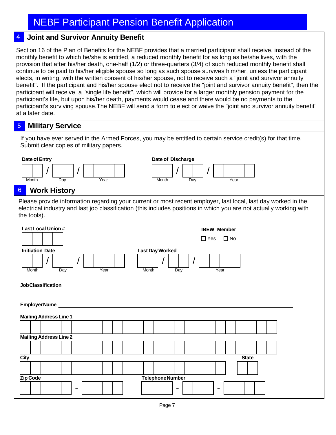## 4 **Joint and Survivor Annuity Benefit**

Section 16 of the Plan of Benefits for the NEBF provides that a married participant shall receive, instead of the monthly benefit to which he/she is entitled, a reduced monthly benefit for as long as he/she lives, with the provision that after his/her death, one-half (1/2) or three-quarters (3/4) of such reduced monthly benefit shall continue to be paid to his/her eligible spouse so long as such spouse survives him/her, unless the participant elects, in writing, with the written consent of his/her spouse, not to receive such a "joint and survivor annuity benefit". If the participant and his/her spouse elect not to receive the "joint and survivor annuity benefit", then the participant will receive a "single life benefit", which will provide for a larger monthly pension payment for the participant's life, but upon his/her death, payments would cease and there would be no payments to the participant's surviving spouse.The NEBF will send a form to elect or waive the "joint and survivor annuity benefit" at a later date.

#### 5 **Military Service**

If you have ever served in the Armed Forces, you may be entitled to certain service credit(s) for that time. Submit clear copies of military papers.

| Date of Entry                                                                                                                                                                                                                                       |                     |     |                              |  |  |      |  |  |  |  |       | Date of Discharge      |                |     |            |                                    |              |  |  |  |
|-----------------------------------------------------------------------------------------------------------------------------------------------------------------------------------------------------------------------------------------------------|---------------------|-----|------------------------------|--|--|------|--|--|--|--|-------|------------------------|----------------|-----|------------|------------------------------------|--------------|--|--|--|
| Month                                                                                                                                                                                                                                               |                     | Day |                              |  |  | Year |  |  |  |  | Month |                        |                | Day |            | Year                               |              |  |  |  |
| $6 \overline{6}$                                                                                                                                                                                                                                    | <b>Work History</b> |     |                              |  |  |      |  |  |  |  |       |                        |                |     |            |                                    |              |  |  |  |
| Please provide information regarding your current or most recent employer, last local, last day worked in the<br>electrical industry and last job classification (this includes positions in which you are not actually working with<br>the tools). |                     |     |                              |  |  |      |  |  |  |  |       |                        |                |     |            |                                    |              |  |  |  |
| <b>Last Local Union #</b>                                                                                                                                                                                                                           |                     |     |                              |  |  |      |  |  |  |  |       |                        |                |     | $\Box$ Yes | <b>IBEW Member</b><br>$\square$ No |              |  |  |  |
| <b>Initiation Date</b>                                                                                                                                                                                                                              |                     |     |                              |  |  |      |  |  |  |  |       | <b>Last Day Worked</b> |                |     |            |                                    |              |  |  |  |
| Month                                                                                                                                                                                                                                               |                     | Day | Year<br>Year<br>Month<br>Day |  |  |      |  |  |  |  |       |                        |                |     |            |                                    |              |  |  |  |
| <b>JobClassification</b>                                                                                                                                                                                                                            |                     |     |                              |  |  |      |  |  |  |  |       |                        |                |     |            |                                    |              |  |  |  |
| EmployerName                                                                                                                                                                                                                                        |                     |     |                              |  |  |      |  |  |  |  |       |                        |                |     |            |                                    |              |  |  |  |
| <b>Mailing Address Line 1</b>                                                                                                                                                                                                                       |                     |     |                              |  |  |      |  |  |  |  |       |                        |                |     |            |                                    |              |  |  |  |
|                                                                                                                                                                                                                                                     |                     |     |                              |  |  |      |  |  |  |  |       |                        |                |     |            |                                    |              |  |  |  |
| <b>Mailing Address Line 2</b>                                                                                                                                                                                                                       |                     |     |                              |  |  |      |  |  |  |  |       |                        |                |     |            |                                    |              |  |  |  |
|                                                                                                                                                                                                                                                     |                     |     |                              |  |  |      |  |  |  |  |       |                        |                |     |            |                                    |              |  |  |  |
| <b>City</b>                                                                                                                                                                                                                                         |                     |     |                              |  |  |      |  |  |  |  |       |                        |                |     |            |                                    | <b>State</b> |  |  |  |
|                                                                                                                                                                                                                                                     |                     |     |                              |  |  |      |  |  |  |  |       |                        |                |     |            |                                    |              |  |  |  |
|                                                                                                                                                                                                                                                     |                     |     |                              |  |  |      |  |  |  |  |       |                        |                |     |            |                                    |              |  |  |  |
| <b>Zip Code</b>                                                                                                                                                                                                                                     |                     |     |                              |  |  |      |  |  |  |  |       | <b>TelephoneNumber</b> |                |     |            |                                    |              |  |  |  |
|                                                                                                                                                                                                                                                     |                     |     |                              |  |  |      |  |  |  |  |       |                        | $\blacksquare$ |     |            |                                    |              |  |  |  |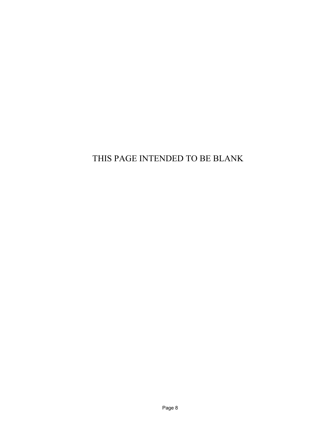# THIS PAGE INTENDED TO BE BLANK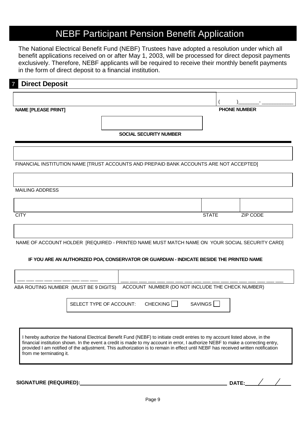The National Electrical Benefit Fund (NEBF) Trustees have adopted a resolution under which all benefit applications received on or after May 1, 2003, will be processed for direct deposit payments exclusively. Therefore, NEBF applicants will be required to receive their monthly benefit payments in the form of direct deposit to a financial institution.

## **Direct Deposit**

**NAME [PLEASE PRINT] PHONE NUMBER**

( )\_\_\_\_\_\_\_\_- \_\_\_\_\_\_\_\_\_\_\_\_

**SOCIAL SECURITY NUMBER**

FINANCIAL INSTITUTION NAME [TRUST ACCOUNTS AND PREPAID BANK ACCOUNTS ARE NOT ACCEPTED]

#### MAILING ADDRESS

| <b>CITY</b> | <b>STATE</b> | ZIP CODE |
|-------------|--------------|----------|

NAME OF ACCOUNT HOLDER [REQUIRED - PRINTED NAME MUST MATCH NAME ON YOUR SOCIAL SECURITY CARD]

#### **IF YOU ARE AN AUTHORIZED POA, CONSERVATOR OR GUARDIAN - INDICATE BESIDE THE PRINTED NAME**

| ABA ROUTING NUMBER (MUST BE 9 DIGITS) |                         |          | ACCOUNT NUMBER (DO NOT INCLUDE THE CHECK NUMBER) |  |
|---------------------------------------|-------------------------|----------|--------------------------------------------------|--|
|                                       | SELECT TYPE OF ACCOUNT: | CHECKING | SAVINGS                                          |  |

I hereby authorize the National Electrical Benefit Fund (NEBF) to initiate credit entries to my account listed above, in the financial institution shown. In the event a credit is made to my account in error, I authorize NEBF to make a correcting entry, provided I am notified of the adjustment. This authorization is to remain in effect until NEBF has received written notification from me terminating it.

**SIGNATURE (REQUIRED): DATE:**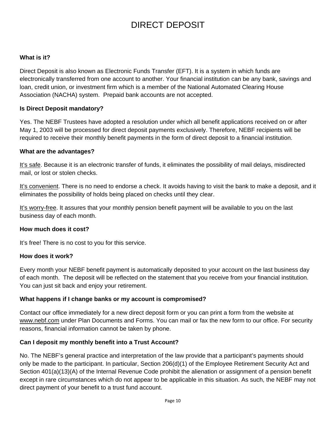# DIRECT DEPOSIT

#### **What is it?**

Direct Deposit is also known as Electronic Funds Transfer (EFT). It is a system in which funds are electronically transferred from one account to another. Your financial institution can be any bank, savings and loan, credit union, or investment firm which is a member of the National Automated Clearing House Association (NACHA) system. Prepaid bank accounts are not accepted.

#### **Is Direct Deposit mandatory?**

Yes. The NEBF Trustees have adopted a resolution under which all benefit applications received on or after May 1, 2003 will be processed for direct deposit payments exclusively. Therefore, NEBF recipients will be required to receive their monthly benefit payments in the form of direct deposit to a financial institution.

#### **What are the advantages?**

It's safe. Because it is an electronic transfer of funds, it eliminates the possibility of mail delays, misdirected mail, or lost or stolen checks.

It's convenient. There is no need to endorse a check. It avoids having to visit the bank to make a deposit, and it eliminates the possibility of holds being placed on checks until they clear.

It's worry-free. It assures that your monthly pension benefit payment will be available to you on the last business day of each month.

#### **How much does it cost?**

It's free! There is no cost to you for this service.

#### **How does it work?**

Every month your NEBF benefit payment is automatically deposited to your account on the last business day of each month. The deposit will be reflected on the statement that you receive from your financial institution. You can just sit back and enjoy your retirement.

#### **What happens if I change banks or my account is compromised?**

Contact our office immediately for a new direct deposit form or you can print a form from the website at www.nebf.com under Plan Documents and Forms. You can mail or fax the new form to our office. For security reasons, financial information cannot be taken by phone.

#### **Can I deposit my monthly benefit into a Trust Account?**

No. The NEBF's general practice and interpretation of the law provide that a participant's payments should only be made to the participant. In particular, Section 206(d)(1) of the Employee Retirement Security Act and Section 401(a)(13)(A) of the Internal Revenue Code prohibit the alienation or assignment of a pension benefit except in rare circumstances which do not appear to be applicable in this situation. As such, the NEBF may not direct payment of your benefit to a trust fund account.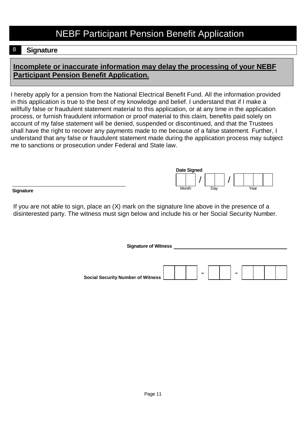## 8 **Signature**

## **Incomplete or inaccurate information may delay the processing of your NEBF Participant Pension Benefit Application.**

I hereby apply for a pension from the National Electrical Benefit Fund. All the information provided in this application is true to the best of my knowledge and belief. I understand that if I make a willfully false or fraudulent statement material to this application, or at any time in the application process, or furnish fraudulent information or proof material to this claim, benefits paid solely on account of my false statement will be denied, suspended or discontinued, and that the Trustees shall have the right to recover any payments made to me because of a false statement. Further, I understand that any false or fraudulent statement made during the application process may subject me to sanctions or prosecution under Federal and State law.



**Signature**

If you are not able to sign, place an (X) mark on the signature line above in the presence of a disinterested party. The witness must sign below and include his or her Social Security Number.

> **Signature of Witness** - - **Social Security Number of Witness**